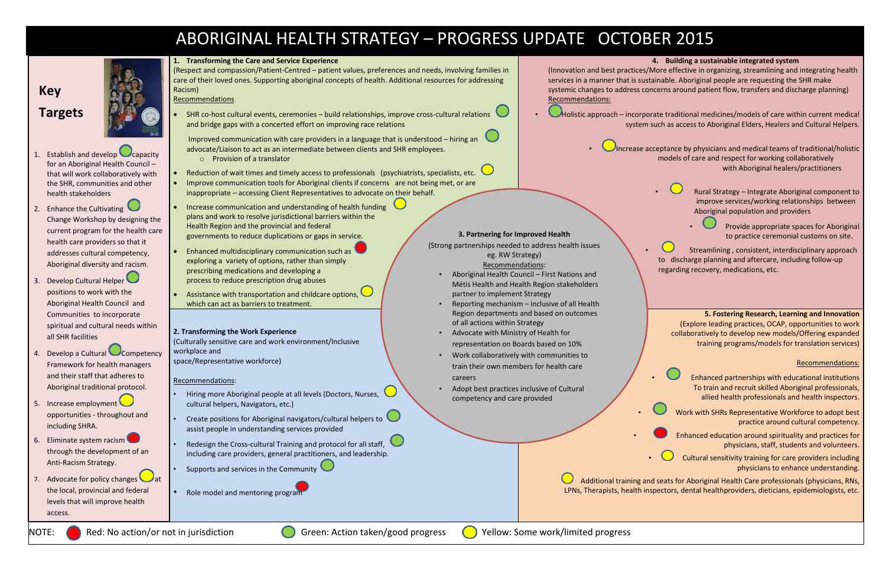# ABORIGINAL HEALTH STRATEGY – PROGRESS UPDATE OCTOBER 2015

**1. Transforming the Care and Service Experience**

(Respect and compassion/Patient-Centred – patient values, preferences and needs, involving families in care of their loved ones. Supporting aboriginal concepts of health. Additional resources for addressing Racism)

Recommendations

 SHR co-host cultural events, ceremonies – build relationships, improve cross-cultural relations and bridge gaps with a concerted effort on improving race relations

Improved communication with care providers in a language that is understood – hiring an advocate/Liaison to act as an intermediate between clients and SHR employees.

- o Provision of a translator
- Reduction of wait times and timely access to professionals (psychiatrists, specialists, etc.
- Improve communication tools for Aboriginal clients if concerns are not being met, or are inappropriate – accessing Client Representatives to advocate on their behalf.
- Increase communication and understanding of health funding plans and work to resolve jurisdictional barriers within the Health Region and the provincial and federal governments to reduce duplications or gaps in service.
- Enhanced multidisciplinary communication such as exploring a variety of options, rather than simply prescribing medications and developing a process to reduce prescription drug abuses
- Assistance with transportation and childcare options, which can act as barriers to treatment.

- Hiring more Aboriginal people at all levels (Doctors, Nurses, cultural helpers, Navigators, etc.)
- Create positions for Aboriginal navigators/cultural helpers to assist people in understanding services provided
- Redesign the Cross-cultural Training and protocol for all staff, including care providers, general practitioners, and leadership.
- Supports and services in the Community
- Role model and mentoring program

Recommendations:

# **2. Transforming the Work Experience**

(Culturally sensitive care and work environment/Inclusive workplace and space/Representative workforce)

### Recommendations:



- 1. Establish and develop capacity for an Aboriginal Health Council – that will work collaboratively with the SHR, communities and other health stakeholders
- 2. Enhance the Cultivating Change Workshop by designing the current program for the health care health care providers so that it addresses cultural competency, Aboriginal diversity and racism.
- 3. Develop Cultural Helper positions to work with the Aboriginal Health Council and Communities to incorporate spiritual and cultural needs within all SHR facilities
- 4. Develop a Cultural Competency Framework for health managers and their staff that adheres to Aboriginal traditional protocol.
- 5. Increase employment opportunities - throughout and including SHRA.
- 6. Eliminate system racism through the development of an Anti-Racism Strategy.
- 7. Advocate for policy changes the local, provincial and federal levels that will improve health access.

## **3. Partnering for Improved Health**

(Strong partnerships needed to address health issues eg. RW Strategy)

- Recommendations:
- Aboriginal Health Council First Nations and Métis Health and Health Region stakeholders partner to implement Strategy
- Reporting mechanism inclusive of all Health Region departments and based on outcomes of all actions within Strategy
- Advocate with Ministry of Health for representation on Boards based on 10%
- Work collaboratively with communities to train their own members for health care careers
- Adopt best practices inclusive of Cultural competency and care provided

NOTE: Red: No action/or not in jurisdiction Green: Action taken/good progress Collection: Some work/limited progress